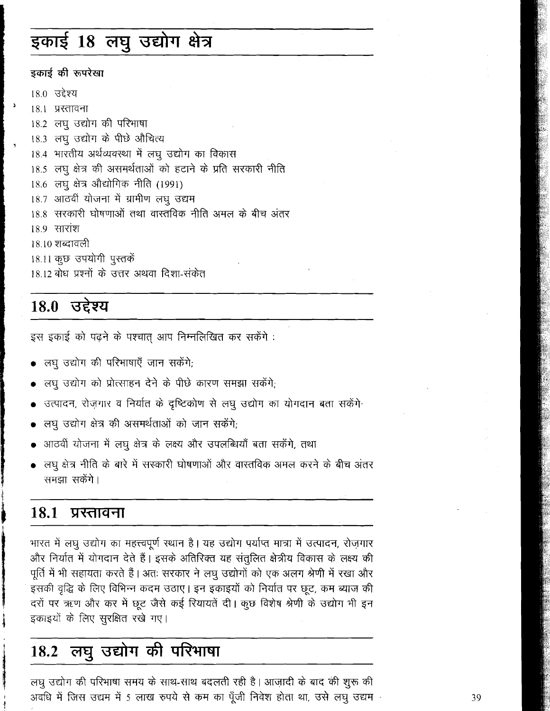# इकाई 18 लघु उद्योग क्षेत्र

### इकाई की रूपरेखा

 $\Delta$ 

18.0 उद्देश्य 18.1 प्रस्तावना 18.2 लघु उद्योग की परिभाषा 18.3 लघु उद्योग के पीछे औचित्य 18.4 भारतीय अर्थव्यवस्था में लघु उद्योग का विकास 18.5 लघु क्षेत्र की असमर्थताओं को हटाने के प्रति सरकारी नीति 18.6 लघू क्षेत्र औद्योगिक नीति (1991) 18.7 आठवीं योजना में ग्रामीण लघु उद्यम 18.8 सरकारी घोषणाओं तथा वास्तविक नीति अमल के बीच अंतर <u>18.9 सारांश</u> 18.10 शब्दावली 18.11 कुछ उपयोगी पुस्तकें 18.12 बोध प्रश्नों के उत्तर अथवा दिशा-संकेत

### 18.0 उद्देश्य

इस इकाई को पढ़ने के पश्चात आप निम्नलिखित कर सकेंगे:

- लघु उद्योग की परिभाषाएँ जान सकेंगे;
- लघु उद्योग को प्रोत्साहन देने के पीछे कारण समझा सकेंगे;
- उत्पादन, रोज़गार व निर्यात के दृष्टिकोण से लघु उद्योग का योगदान बता सकेंगे
- लघु उद्योग क्षेत्र की असमर्थताओं को जान सकेंगे;
- आठवीं योजना में लघू क्षेत्र के लक्ष्य और उपलब्धियाँ बता सकेंगे, तथा
- लघू क्षेत्र नीति के बारे में सरकारी घोषणाओं और वास्तविक अमल करने के बीच अंतर समझा सकेंगे।

#### 18.1 प्रस्तावना

भारत में लघु उद्योग का महत्त्वपूर्ण स्थान है। यह उद्योग पर्याप्त मात्रा में उत्पादन, रोज़गार और निर्यात में योगदान देते हैं। इसके अतिरिक्त यह संतुलित क्षेत्रीय विकास के लक्ष्य की पूर्ति में भी सहायता करते हैं। अतः सरकार ने लघु उद्योगों को एक अलग श्रेणी में रखा और इसकी वृद्धि के लिए विभिन्न कदम उठाए। इन इकाइयों को निर्यात पर छूट, कम ब्याज की दरों पर ऋण और कर में छूट जैसे कई रियायतें दी। कुछ विशेष श्रेणी के उद्योग भी इन इकाइयों के लिए सुरक्षित रखे गए।

### लघु उद्योग की परिभाषा 18.2

लघु उद्योग की परिभाषा समय के साथ-साथ बदलती रही है। आज़ादी के बाद की शुरू की अवधि में जिस उद्यम में 5 लाख रुपये से कम का पूँजी निवेश होता था, उसे लघु उद्यम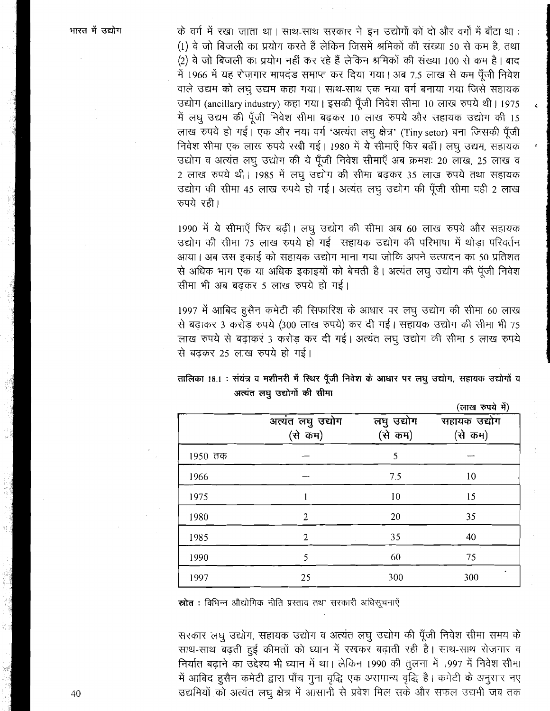के वर्ग में रखा जाता था। साथ-साथ सरकार ने इन उद्योगों को दो और वर्गों में बाँटा था : (1) वे जो बिजली का प्रयोग करते हैं लेकिन जिसमें श्रमिकों की संख्या 50 से कम है, तथा (2) वे जो बिजली का प्रयोग नहीं कर रहे हैं लेकिन श्रमिकों की संख्या 100 से कम है। बाद में 1966 में यह रोज़गार मापदंड समाप्त कर दिया गया। अब 7.5 लाख से कम पूँजी निवेश वाले उद्यम को लघु उद्यम कहा गया। साथ-साथ एक नया वर्ग बनाया गया जिसे सहायक उद्योग (ancillary industry) कहा गया। इसकी पूँजी निवेश सीमा 10 लाख रुपये थी। 1975 में लघु उद्यम की पूँजी निवेश सीमा बढ़कर 10 लाख रुपये और सहायक उद्योग की 15 लाख रुपये हो गई। एक और नया वर्ग 'अत्यंत लघु क्षेत्र' (Tiny setor) बना जिसकी पूँजी निवेश सीमा एक लाख रुपये रखी गई। 1980 में ये सीमाएँ फिर बढ़ीं। लघु उद्यम, सहायक उद्योग व अत्यंत लघु उद्योग की ये पूँजी निवेश सीमाएँ अब क्रमशः 20 लाख, 25 लाख व 2 लाख रुपये थी। 1985 में लघु उद्योग की सीमा बढ़कर 35 लाख रुपये तथा सहायक उद्योग की सीमा 45 लाख रुपये हो गई। अत्यंत लघु उद्योग की पूँजी सीमा वही 2 लाख रुपये रही।

1990 में ये सीमाएँ फिर बढ़ीं। लघु उद्योग की सीमा अब 60 लाख रुपये और सहायक उद्योग की सीमा 75 लाख रुपये हो गई। सहायक उद्योग की परिभाषा में थोड़ा परिवर्तन आया। अब उस इकाई को सहायक उद्योग माना गया जोकि अपने उत्पादन का 50 प्रतिशत से अधिक भाग एक या अधिक इकाइयों को बेचती है। अत्यंत लघु उद्योग की पूँजी निवेश सीमा भी अब बढकर 5 लाख रुपये हो गई।

1997 में आबिद हुसैन कमेटी की सिफारिश के आधार पर लघु उद्योग की सीमा 60 लाख से बढ़ाकर 3 करोड़ रुपये (300 लाख रुपये) कर दी गई। सहायक उद्योग की सीमा भी 75 लाख रुपये से बढ़ाकर 3 करोड़ कर दी गई। अत्यंत लघु उद्योग की सीमा 5 लाख रुपये से बढकर 25 लाख रुपये हो गई।

|         |                              |                       | (लाख रुपये में)         |
|---------|------------------------------|-----------------------|-------------------------|
|         | अत्यंत लघु उद्योग<br>(से कम) | लघु उद्योग<br>(से कम) | सहायक उद्योग<br>(से कम) |
| 1950 तक |                              | 5                     |                         |
| 1966    |                              | 7.5                   | 10                      |
| 1975    |                              | 10                    | 15                      |
| 1980    | 2                            | 20                    | 35                      |
| 1985    | 2                            | 35                    | 40                      |
| 1990    | 5                            | 60                    | 75                      |
| 1997    | 25                           | 300                   | 300                     |

तालिका 18.1 : संयंत्र व मशीनरी में स्थिर पूँजी निवेश के आधार पर लघु उद्योग, सहायक उद्योगों व अत्यंत लघु उद्योगों की सीमा

स्रोत : विभिन्न औद्योगिक नीति प्रस्ताव तथा सरकारी अधिसूचनाएँ

सरकार लघु उद्योग, सहायक उद्योग व अत्यंत लघु उद्योग की पूँजी निवेश सीमा समय के साथ-साथ बढ़ती हुई कीमतों को ध्यान में रखकर बढ़ाती रही है। साथ-साथ रोजगार व निर्यात बढ़ाने का उद्देश्य भी ध्यान में था। लेकिन 1990 की तुलना में 1997 में निवेश सीमा में आबिद हुसैन कमेटी द्वारा पाँच गुना वृद्धि एक असमान्य वृद्धि है। कमेटी के अनुसार नए उद्यमियों को अत्यंत लघु क्षेत्र में आसानी से प्रवेश मिल सके और सफल उद्यमी जब तक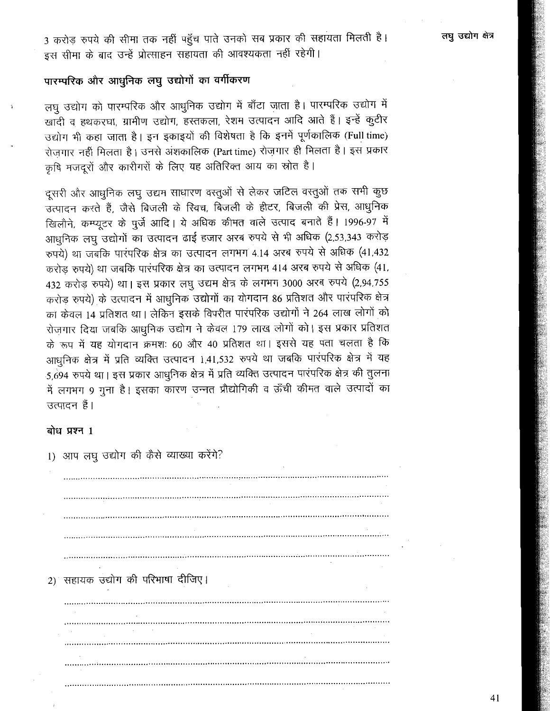3 करोड़ रुपये की सीमा तक नहीं पहुँच पाते उनको सब प्रकार की सहायता मिलती है। इस सीमा के बाद उन्हें प्रोत्साहन सहायता की आवश्यकता नहीं रहेगी।

## पारम्परिक और आधुनिक लघु उद्योगों का वर्गीकरण

लघु उद्योग को पारम्परिक और आधुनिक उद्योग में बाँटा जाता है। पारम्परिक उद्योग में खादी व हथकरघा, ग्रामीण उद्योग, हस्तकला, रेशम उत्पादन आदि आते हैं। इन्हें कुटीर उद्योग भी कहा जाता है। इन इकाइयों की विशेषता है कि इनमें पूर्णकालिक (Full time) रोज़गार नहीं मिलता है। उनसे अंशकालिक (Part time) रोज़गार ही मिलता है। इस प्रकार कृषि मजदूरों और कारीगरों के लिए यह अतिरिक्त आय का स्रोत है।

दूसरी और आधुनिक लघु उद्यम साधारण वस्तुओं से लेकर जटिल वस्तुओं तक सभी कुछ उत्पादन करते हैं, जैसे बिजली के स्विच, बिजली के हीटर, बिजली की प्रेस, आधुनिक खिलौने, कम्प्यूटर के पुर्जे आदि। ये अधिक कीमत वाले उत्पाद बनाते हैं। 1996-97 में आधुनिक लघु उद्योगों का उत्पादन ढाई हजार अरब रुपये से भी अधिक (2,53,343 करोड़ रुपये) था जबकि पारंपरिक क्षेत्र का उत्पादन लगभग 4.14 अरब रुपये से अधिक (41,432 करोड़ रुपये) था जबकि पारंपरिक क्षेत्र का उत्पादन लगभग 414 अरब रुपये से अधिक (41, 432 करोड़ रुपये) था। इस प्रकार लघु उद्यम क्षेत्र के लगभग 3000 अरब रुपये (2,94,755 करोड़ रुपये) के उत्पादन में आधुनिक उद्योगों का योगदान 86 प्रतिशत और पारंपरिक क्षेत्र का केवल 14 प्रतिशत था। लेकिन इसके विपरीत पारंपरिक उद्योगों ने 264 लाख लोगों को रोज़गार दिया जबकि आधुनिक उद्योग ने केवल 179 लाख लोगों को। इस प्रकार प्रतिशत के रूप में यह योगदान क्रमशः 60 और 40 प्रतिशत था। इससे यह पता चलता है कि आधुनिक क्षेत्र में प्रति व्यक्ति उत्पादन 1,41,532 रुपये था जबकि पारंपरिक क्षेत्र में यह 5,694 रुपये था। इस प्रकार आधुनिक क्षेत्र में प्रति व्यक्ति उत्पादन पारंपरिक क्षेत्र की तुलना में लगभग 9 गुना है। इसका कारण उन्नत प्रौद्योगिकी व ऊँची कीमत वाले उत्पादों का उत्पादन हैं।

### बोध प्रश्न 1

| 1) आप लघु उद्योग की कैसे व्याख्या करेंगे? |  |
|-------------------------------------------|--|
|                                           |  |
|                                           |  |
|                                           |  |
|                                           |  |
|                                           |  |
|                                           |  |
| $\bullet$                                 |  |
| 2) सहायक उद्योग की परिभाषा दीजिए।         |  |
|                                           |  |
|                                           |  |
|                                           |  |
|                                           |  |
|                                           |  |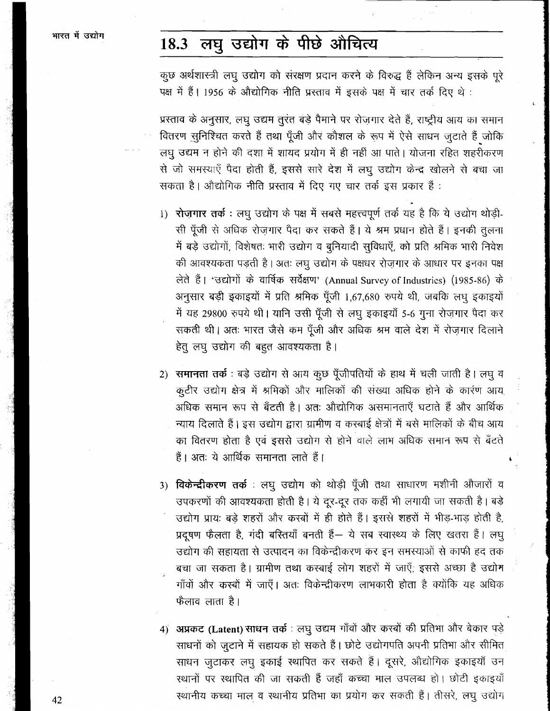### लघु उद्योग के पीछे औचित्य 18.3

कुछ अर्थशास्त्री लघु उद्योग को संरक्षण प्रदान करने के विरुद्ध हैं लेकिन अन्य इसके पूरे पक्ष में हैं। 1956 के औद्योगिक नीति प्रस्ताव में इसके पक्ष में चार तर्क दिए थे:

प्रस्ताव के अनुसार, लघु उद्यम तुरंत बड़े पैमाने पर रोजगार देते हैं, राष्ट्रीय आय का समान वितरण सुनिश्चित करते हैं तथा पूँजी और कौशल के रूप में ऐसे साधन जुटाते हैं जोकि लघु उद्यम न होने की दशा में शायद प्रयोग में ही नहीं आ पाते। योजना रहित शहरीकरण से जो समस्याएँ पैदा होती हैं, इससे सारे देश में लघु उद्योग केन्द्र खोलने से बचा जा सकता है। औद्योगिक नीति प्रस्ताव में दिए गए चार तर्क इस प्रकार हैं :

- 1) रोज़गार तर्क: लघु उद्योग के पक्ष में सबसे महत्त्वपूर्ण तर्क यह है कि ये उद्योग थोड़ी-सी पूँजी से अधिक रोज़गार पैदा कर सकते हैं। ये श्रम प्रधान होते हैं। इनकी तुलना में बड़े उद्योगों, विशेषतः भारी उद्योग व बुनियादी सुविधाएँ, को प्रति श्रमिक भारी निवेश की आवश्यकता पड़ती है। अतः लघु उद्योग के पक्षधर रोज़गार के आधार पर इनका पक्ष लेते हैं। 'उद्योगों के वार्षिक सर्वेक्षण' (Annual Survey of Industries) (1985-86) के अनुसार बड़ी इकाइयों में प्रति श्रमिक पूँजी 1,67,680 रुपये थी, जबकि लघु इकाइयों में यह 29800 रुपये थी। यानि उसी पूँजी से लघु इकाइयाँ 5-6 गुना रोज़गार पैदा कर सकती थी। अतः भारत जैसे कम पूँजी और अधिक श्रम वाले देश में रोज़गार दिलाने हेत् लघु उद्योग की बहुत आवश्यकता है।
- 2) समानता तर्क बड़े उद्योग से आय कुछ पूँजीपतियों के हाथ में चली जाती है। लघु व कूटीर उद्योग क्षेत्र में श्रमिकों और मालिकों की संख्या अधिक होने के कार्रण आय अधिक समान रूप से बँटती है। अतः औद्योगिक असमानताएँ घटाते हैं और आर्थिक न्याय दिलाते हैं। इस उद्योग द्वारा ग्रामीण व करबाई क्षेत्रों में बसे मालिकों के बीच आय का वितरण होता है एवं इससे उद्योग से होने वाले लाभ अधिक समान रूप से बँटते हैं। अतः ये आर्थिक समानता लाते हैं।
- 3) **विकेन्द्रीकरण तर्क** : लघु उद्योग को थोड़ी पूँजी तथा साधारण मशीनी औजारों व उपकरणों की आवश्यकता होती है। ये दूर-दूर तक कहीं भी लगायी जा सकती है। बड़े उद्योग प्रायः बड़े शहरों और करबों में ही होते हैं। इससे शहरों में भीड़-भाड़ होती है, प्रदुषण फैलता है, गंदी बरितयाँ बनती हैं— ये सब स्वास्थ्य के लिए खतरा हैं। लघू उद्योग की सहायता से उत्पादन का विकेन्द्रीकरण कर इन समस्याओं से काफी हद तक बचा जा सकता है। ग्रामीण तथा कस्बाई लोग शहरों में जाएँ, इससे अच्छा है उद्योग गाँवों और कर्स्बों में जाएँ। अतः विकेन्द्रीकरण लाभकारी होता है क्योंकि यह अधिक फैलाव लाता है।
- 4) अप्रकट (Latent) साधन तर्क : लघु उद्यम गाँवों और कस्बों की प्रतिभा और बेकार पड़े साधनों को जुटाने में सहायक हो सकते हैं। छोटे उद्योगपति अपनी प्रतिभा और सीमित साधन जुटाकर लघु इकाई स्थापित कर सकते हैं। दूसरे, औद्योगिक इकाइयाँ उन रथानों पर स्थापित की जा सकती हैं जहाँ कच्चा माल उपलब्ध हो। छोटी इकाइयाँ स्थानीय कच्चा माल व स्थानीय प्रतिभा का प्रयोग कर सकती हैं। तीसरे, लघु उद्योग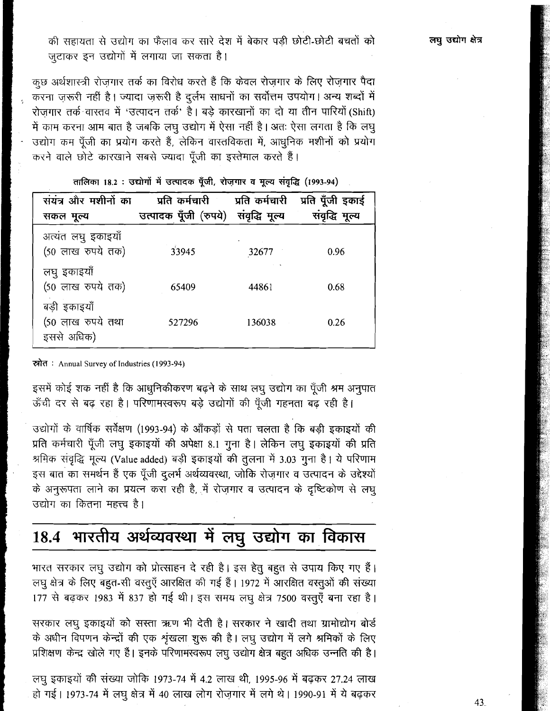की सहायता से उद्योग का फैलाव कर सारे देश में बेकार पड़ी छोटी-छोटी बचतों को जुटाकर इन उद्योगों में लगाया जा सकता है।

कूछ अर्थशास्त्री रोज़गार तर्क का विरोध करते हैं कि केवल रोज़गार के लिए रोज़गार पैदा करना ज़रूरी नहीं है। ज्यादा ज़रूरी है दुर्लभ साधनों का सर्वोत्तम उपयोग। अन्य शब्दों में रोजगार तर्क वास्तव में 'उत्पादन तर्क' है। बड़े कारखानों का दो या तीन पारियों (Shift) में काम करना आम बात है जबकि लघु उद्योग में ऐसा नहीं है। अतः ऐसा लगता है कि लघु उद्योग कम पूँजी का प्रयोग करते हैं, लेकिन वास्तविकता में, आधुनिक मशीनों को प्रयोग rn4~\*~~~~m\*M81 & **18 2** : 3'&J'h **4** FFV35 **p, J W@ (1993-94)** 

| संयंत्र और मशीनों का                            | प्रति कर्मचारी        | प्रति कर्मचारी | प्रति पूँजी इकाई |
|-------------------------------------------------|-----------------------|----------------|------------------|
| सकल मूल्य                                       | उत्पादक पूँजी (रुपये) | संवृद्धि मूल्य | संवृद्धि मूल्य   |
| अत्यंत लघु इकाइयाँ<br>(50 लाख रुपये तक)         | 33945                 | 32677          | 0.96             |
| लघु इकाइयाँ<br>(50 लाख रुपये तक)                | 65409                 | 44861          | 0.68             |
| बड़ी इकाइयाँ<br>(50 लाख रुपये तथा<br>इससे अधिक) | 527296                | 136038         | 0.26             |

तालिका 18.2 : उद्योगों में उत्पादक पूँजी, रोज़गार व मूल्य संवृद्धि (1993-94)

**dl3 Annual Survey of Tndustrles (1 993-94)** 

इसमें कोई शक नहीं है कि आधुनिकीकरण बढ़ने के साथ लघु उद्योग का पूँजी श्रम अनुपात ऊँची दर से बढ़ रहा है। परिणामस्वरूप बड़े उद्योगों की पूँजी गहनता बढ़ रही है।

उद्योगों के वार्षिक सर्वेक्षण (1993-94) के आँकड़ों से पता चलता है कि बड़ी इकाइयों की प्रति कर्मचारी पूँजी लघु इकाइयों की अपेक्षा 8.1 गुना है। लेकिन लघु इकाइयों की प्रति श्रमिक संवृद्धि मूल्य (Value added) बड़ी इकाइयों की तुलना में 3.03 गुना है। ये परिणाम इस बात का समर्थन हैं एक पूँजी दुलर्भ अर्थव्यवस्था, जोकि रोज़गार व उत्पादन के उद्देश्यों के अनुरूपता लाने का प्रयत्न करा रही है, में रोजगार व उत्पादन के दृष्टिकोण से लघु उद्योग का कितना महत्त्व है।

# **18.4** Wdh 3~zfm't dlT h

लघु क्षेत्र के लिए बहुत-सी वस्तुएँ आरक्षित की गई हैं। 1972 में आरक्षित वस्तूओं की संख्या 177 से बढ़कर 1983 में 837 हो गई थी। इस समय लघू क्षेत्र 7500 वस्तूएँ बना रहा है।

सरकार लघु इकाइयों को सस्ता ऋण भी देती है। सरकार ने खादी तथा ग्रामोद्योग बोर्ड के अधीन विपणन केन्द्रों की एक शृंखला शुरू की है। लघु उद्योग में लगे श्रमिकों के लिए प्रशिक्षण केन्द्र खोले गए हैं। इनके परिणामस्वरूप लघू उद्योग क्षेत्र बहुत अधिक उन्नति की है।

लघु इकाइयों की संख्या जोकि 1973-74 में 4.2 लाख थी, 1995-96 में बढ़कर 27.24 लाख हो गई। 1973-74 में लघू क्षेत्र में 40 लाख लोग रोज़गार में लगे थे। 1990-91 में ये बढ़कर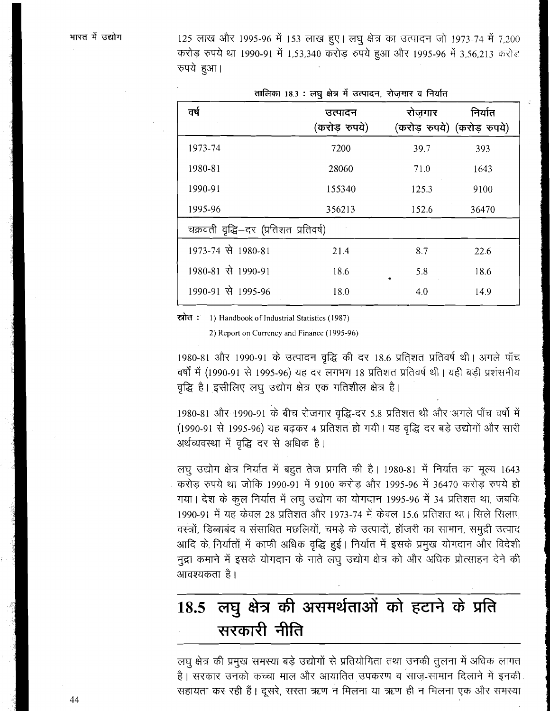125 लाख और 1995-96 में 153 लाख हुए। लघु क्षेत्र का उत्पादन जो 1973-74 में 7,200 करोड़ रुपये था 1990-91 में 1,53,340 करोड़ रुपये हुआ और 1995-96 में 3,56,213 करोड़ रुपये हुआ।

| तालिका 18.3 : लघु क्षेत्र में उत्पादन, रोज़गार व निर्यात |                          |                                       |         |  |
|----------------------------------------------------------|--------------------------|---------------------------------------|---------|--|
| वर्ष                                                     | उत्पादन<br>(करोड़ रुपये) | रोजगार<br>(करोड़ रुपये) (करोड़ रुपये) | निर्यात |  |
| 1973-74                                                  | 7200                     | 39.7                                  | 393     |  |
| 1980-81                                                  | 28060                    | 71.0                                  | 1643    |  |
| 1990-91                                                  | 155340                   | 125.3                                 | 9100    |  |
| 1995-96                                                  | 356213                   | 152.6                                 | 36470   |  |
| चक्रवती वृद्धि–दर (प्रतिशत प्रतिवर्ष)                    |                          |                                       |         |  |
| 1973-74 से 1980-81                                       | 21.4                     | 8.7                                   | 22.6    |  |
| 1980-81 से 1990-91                                       | 18.6                     | 5.8<br>٠                              | 18.6    |  |
| 1990-91 से 1995-96                                       | 18.0                     | 4.0                                   | 14.9    |  |

रत्नोत : 1) Handbook of Industrial Statistics (1987)

2) Report on Currency and Finance (1995-96)

1980-81 और 1990-91 के उत्पादन वृद्धि की दर 18.6 प्रतिशत प्रतिवर्ष थी। अगले पाँच वर्षों में (1990-91 से 1995-96) यह दर लगभग 18 प्रतिशत प्रतिवर्ष थी। यही बड़ी प्रशंसनीय वृद्धि है। इसीलिए लघू उद्योग क्षेत्र एक गतिशील क्षेत्र है।

1980-81 और 1990-91 के बीच रोजगार वृद्धि-दर 5.8 प्रतिशत थी और अगले पाँच वर्षों में (1990-91 से 1995-96) यह बढ़कर 4 प्रतिशत हो गयी। यह वृद्धि दर बड़े उद्योगों और सारी अर्थव्यवस्था में वृद्धि दर से अधिक है।

लघु उद्योग क्षेत्र निर्यात में बहुत तेज प्रगति की है। 1980-81 में निर्यात का मूल्य 1643 करोड़ रुपये था जोकि 1990-91 में 9100 करोड़ और 1995-96 में 36470 करोड़ रुपये हो गया। देश के कुल निर्यात में लघु उद्योग का योगदान 1995-96 में 34 प्रतिशत था, जबकि 1990-91 में यह केवल 28 प्रतिशत और 1973-74 में केवल 15.6 प्रतिशत था। सिले सिलाए वस्त्रों, डिब्बाबंद व संसाधित मछलियों, चमड़े के उत्पादों, हॉजरी का सामान, समुद्री उत्पाद आदि के निर्यातों में काफी अधिक वृद्धि हुई। निर्यात में इसके प्रमुख योगदान और विदेशी मुद्रा कमाने में इसके योगदान के नाते लघु उद्योग क्षेत्र को और अधिक प्रोत्साहन देने की आवश्यकता है।

### लघु क्षेत्र की असमर्थताओं को हटाने के प्रति 18.5 सरकारी नीति

लघु क्षेत्र की प्रमुख समस्या बड़े उद्योगों से प्रतियोगिता तथा उनकी तुलना में अधिक लागत है। सरकार उनको कच्चा माल और आयातित उपकरण व साज़-सामान दिलाने में इनकी सहायता कर रही हैं। दूसरे, सरता ऋण न मिलना या ऋण ही न मिलना एक और समस्या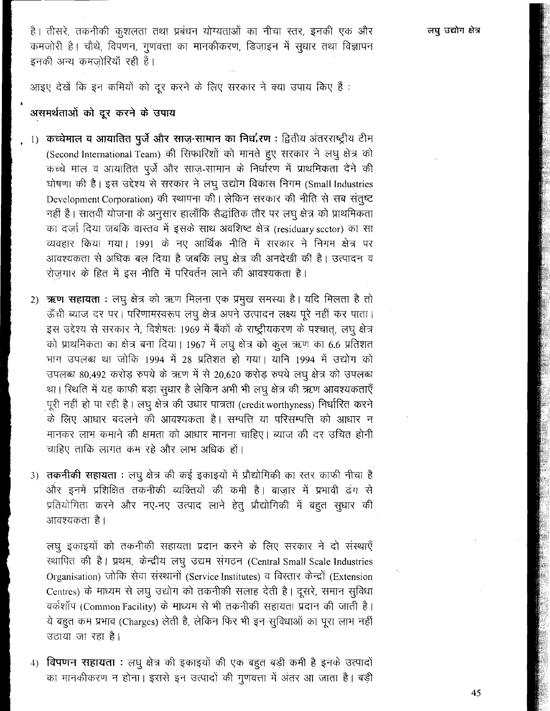है। तीसरे, तकनीकी कुशलता तथा प्रबंधन योग्यताओं का नीचा स्तर, इनकी एक और कमजोरी है। चौथे, विपणन, गुणवत्ता का मानकीकरण, डिज़ाइन में सुधार तथा विज्ञापन इनकी अन्य कमजोरियाँ रही हैं।

आइए देखें कि इन कमियों को दूर करने के लिए सरकार ने क्या उपाय किए हैं:

### असमर्थताओं को दूर करने के उपाय

- , 1) कच्चेमाल व आयातित पुर्जे और साज़-सामान का निर्धारण : द्वितीय अंतरराष्ट्रीय टीम (Second International Team) की सिफारिशों को मानते हुए सरकार ने लघु क्षेत्र को कच्चे माल व आयातित पूर्जे और साज-सामान के निर्धारण में प्राथमिकता देने की घोषणा की है। इस उद्देश्य से सरकार ने लघु उद्योग विकास निगम (Small Industries Development Corporation) की स्थापना की। लेकिन सरकार की नीति से सब संतुष्ट नहीं हैं। सातवीं योजना के अनुसार हालाँकि सैद्धांतिक तौर पर लघु क्षेत्र को प्राथमिकता का दर्जा दिया जबकि वास्तव में इसके साथ अवशिष्ट क्षेत्र (residuary sector) का सा व्यवहार किया गया। 1991 के नए आर्थिक नीति में सरकार ने निगम क्षेत्र पर आवश्यकता से अधिक बल दिया है जबकि लघू क्षेत्र की अनदेखी की है। उत्पादन व रोज़गार के हित में इस नीति में परिवर्तन लाने की आवश्यकता है।
	- 2) ऋण सहायता : लघु क्षेत्र को ऋण मिलना एक प्रमुख समस्या है। यदि मिलता है तो ऊँची ब्याज दर पर। परिणामरवरूप लघु क्षेत्र अपने उत्पादन लक्ष्य पूरे नहीं कर पाता। इस उद्देश्य से सरकार ने, विशेषतः 1969 में बैंकों के राष्ट्रीयकरण के पश्चात्, लघु क्षेत्र को प्राथमिकता का क्षेत्र बना दिया। 1967 में लघु क्षेत्र को कुल ऋण का 6.6 प्रतिशत भाग उपलब्ध था जोकि 1994 में 28 प्रतिशत हो गया। यानि 1994 में उद्योग को उपलब्ध 80,492 करोड़ रुपये के ऋण में से 20,620 करोड़ रुपये लघू क्षेत्र को उपलब्ध था। स्थिति में यह काफी बड़ा सुधार है लेकिन अभी भी लघु क्षेत्र की ऋण आवश्यकताएँ पूरी नहीं हो पा रही है। लघु क्षेत्र की उधार पात्रता (credit worthyness) निर्धारित करने के लिए आधार बदलने की आवश्यकता है। सम्पत्ति या परिसम्पत्ति को आधार न मानकर लाभ कमाने की क्षमता को आधार मानना चाहिए। ब्याज की दर उचित होनी चाहिए ताकि लागत कम रहे और लाभ अधिक हों।
	- 3) तकनीकी सहायता : लघू क्षेत्र की कई इकाइयों में प्रौद्योगिकी का स्तर काफी नीचा है और इनमें प्रशिक्षित तकनीकी व्यक्तियों की कमी है। बाजार में प्रभावी ढंग से प्रतियोगिता करने और नए-नए उत्पाद लाने हेतू प्रौद्योगिकी में बहुत सुधार की आवश्यकता है।

लघु इकाइयों को तकनीकी सहायता प्रदान करने के लिए सरकार ने दो संस्थाएँ स्थापित की है। प्रथम, केन्द्रीय लघु उद्यम संगठन (Central Small Scale Industries Organisation) जोकि सेवा संस्थानों (Service Institutes) व विस्तार केन्द्रों (Extension Centres) के माध्यम से लघु उद्योग को तकनीकी सलाह देती है। दूसरे, समान सुविधा वर्कशॉप (Common Facility) के माध्यम से भी तकनीकी सहायता प्रदान की जाती है। ये बहुत कम प्रभाव (Charges) लेती है, लेकिन फिर भी इन सुविधाओं का पूरा लाभ नहीं उठाया जा रहा है।

4) विपणन सहायता : लघु क्षेत्र की इकाइयों की एक बहुत बड़ी कमी है इनके उत्पादों का मानकीकरण न होना। इससे इन उत्पादों की गुणवत्ता में अंतर आ जाता है। बड़ी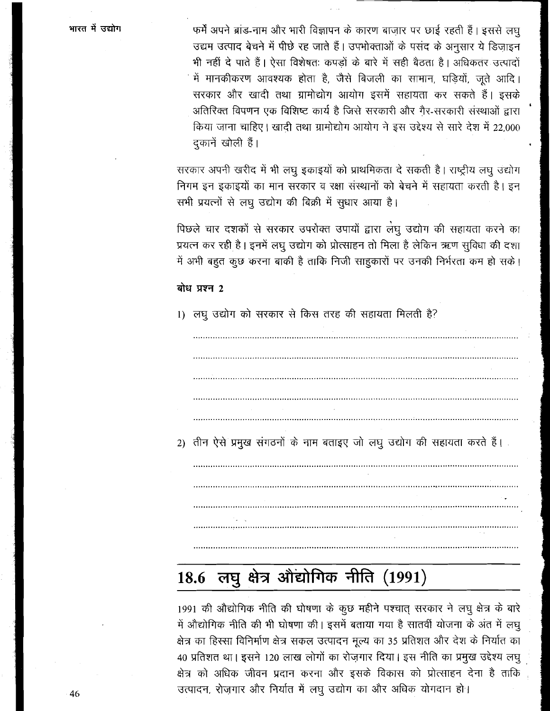भारत में उद्योग

फर्में अपने ब्रांड-नाम और भारी विज्ञापन के कारण बाजार पर छाई रहती हैं। इससे लघ उद्यम उत्पाद बेचने में पीछे रह जाते हैं। उपभोक्ताओं के पसंद के अनुसार ये डिजाइन भी नहीं दे पाते हैं। ऐसा विशेषतः कपड़ों के बारे में सही बैठता है। अधिकतर उत्पादों में मानकीकरण आवश्यक होता है, जैसे बिजली का सामान, घड़ियों, जूते आदि। सरकार और खादी तथा ग्रामोद्योग आयोग इसमें सहायता कर सकते हैं। इसके अतिरिक्त विपणन एक विशिष्ट कार्य है जिसे सरकारी और गैर-सरकारी संस्थाओं द्वारा किया जाना चाहिए। खादी तथा ग्रामोद्योग आयोग ने इस उद्देश्य से सारे देश में 22,000 दुकानें खोली हैं।

सरकार अपनी खरीद में भी लघु इकाइयों को प्राथमिकता दे सकती है। राष्ट्रीय लघु उद्योग निगम इन इकाइयों का मान सरकार व रक्षा संस्थानों को बेचने में सहायता करती है। इन सभी प्रयत्नों से लघू उद्योग की बिक्री में सुधार आया है।

पिछले चार दशकों से सरकार उपरोक्त उपायों द्वारा लेघू उद्योग की सहायता करने का प्रयत्न कर रही है। इनमें लघु उद्योग को प्रोत्साहन तो मिला है लेकिन ऋण सुविधा की दशा में अभी बहुत कुछ करना बाकी है ताकि निजी साहकारों पर उनकी निर्भरता कम हो सके।

### बोध प्रश्न 2

1) लघू उद्योग को सरकार से किस तरह की सहायता मिलती है?

2) तीन ऐसे प्रमुख संगठनों के नाम बताइए जो लघू उद्योग की सहायता करते हैं।

### लघु क्षेत्र औद्योगिक नीति (1991) 18.6

1991 की औद्योगिक नीति की घोषणा के कुछ महीने पश्चात् सरकार ने लघु क्षेत्र के बारे में औद्योगिक नीति की भी घोषणा की। इसमें बताया गया है सातवीं योजना के अंत में लघु क्षेत्र का हिस्सा विनिर्माण क्षेत्र सकल उत्पादन मूल्य का 35 प्रतिशत और देश के निर्यात का 40 प्रतिशत था। इसने 120 लाख लोगों का रोज़गार दिया। इस नीति का प्रमुख उद्देश्य लघु क्षेत्र को अधिक जीवन प्रदान करना और इसके विकास को प्रोत्साहन देना है ताकि उत्पादन, रोज़गार और निर्यात में लघु उद्योग का और अधिक योगदान हो।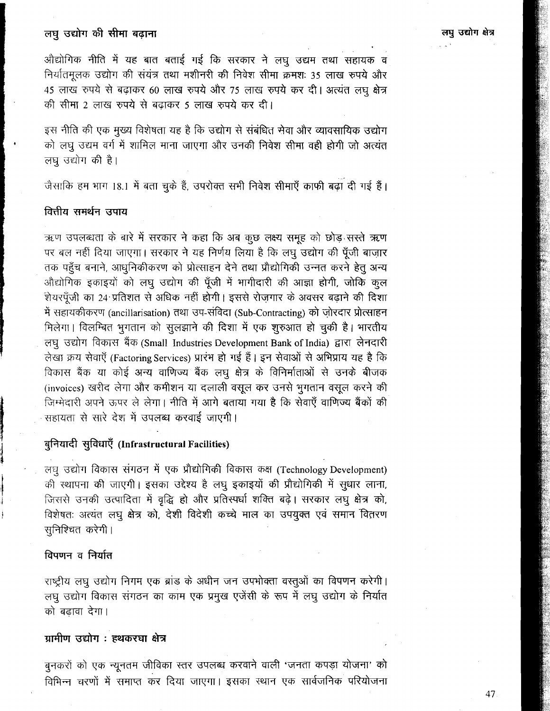ओद्योगिक नीति में यह बात बताई गई कि सरकार ने लघु उद्यम तथा सहायक व निर्यातमूलक उद्योग की संयंत्र तथा मशीनरी की निवेश सीमा क्रमशः 35 लाख रुपये और 45 लाख रुपये से बढ़ाकर 60 लाख रुपये और 75 लाख रुपये कर दी। अत्यंत लघु क्षेत्र की सीमा 2 लाख रुपये से बढ़ाकर 5 लाख रुपये कर दी।

इस नीति की एक मुख्य विशेषता यह है कि उद्योग से संबंधित सेवा और व्यावसायिक उद्योग को लघु उद्यम वर्ग में शामिल माना जाएगा और उनकी निवेश सीमा वही होगी जो अत्यंत लघू उद्योग की है।

जैसाकि हम भाग 18.1 में बता चुके हैं, उपरोक्त सभी निवेश सीमाएँ काफी बढ़ा दी गई हैं।

### वित्तीय समर्थन उपाय

ऋण उपलब्धता के बारे में सरकार ने कहा कि अब कुछ लक्ष्य समूह को छोड़ सस्ते ऋण पर बल नहीं दिया जाएगा। सरकार ने यह निर्णय लिया है कि लघु उद्योग की पूँजी बाज़ार तक पहुँच बनाने, आधुनिकीकरण को प्रोत्साहन देने तथा प्रौद्योगिकी उन्नत करने हेतु अन्य औद्योगिक इकाइयों को लघु उद्योग की पूँजी में भागीदारी की आज्ञा होगी, जोकि कुल शेयरपूँजी का 24 प्रतिशत से अधिक नहीं होगी। इससे रोजगार के अवसर बढ़ाने की दिशा में सहायकीकरण (ancillarisation) तथा उप-संविदा (Sub-Contracting) को ज़ोरदार प्रोत्साहन मिलेगा। विलम्बित भूगतान को सूलझाने की दिशा में एक शूरुआत हो चुकी है। भारतीय लघु उद्योग विकास बैंक (Small Industries Development Bank of India) द्वारा लेनदारी लेखा क्रय सेवाएँ (Factoring Services) प्रारंभ हो गई हैं। इन सेवाओं से अभिप्राय यह है कि विकास बैंक या कोई अन्य वाणिज्य बैंक लघु क्षेत्र के विनिर्माताओं से उनके बीजक (invoices) खरीद लेगा और कमीशन या दलाली वसूल कर उनसे भूगतान वसूल करने की जिम्मेदारी अपने ऊपर ले लेगा। नीति में आगे बताया गया है कि सेवाएँ वाणिज्य बैंकों की सहायता से सारे देश में उपलब्ध करवाई जाएगी।

### बुनियादी सुविधाएँ (Infrastructural Facilities)

लघु उद्योग विकास संगठन में एक प्रौद्योगिकी विकास कक्ष (Technology Development) की स्थापना की जाएगी। इसका उद्देश्य है लघु इकाइयों की प्रौद्योगिकी में सुधार लाना, जिससे उनकी उत्पादिता में वृद्धि हो और प्रतिस्पर्धा शक्ति बढ़े। सरकार लघु क्षेत्र को, विशेषतः अत्यंत लघू क्षेत्र को, देशी विदेशी कच्चे माल का उपयुक्त एवं समान वितरण सुनिश्चित करेगी।

### विपणन व निर्यात

राष्ट्रीय लघु उद्योग निगम एक ब्रांड के अधीन जन उपभोक्ता वस्तुओं का विपणन करेगी। लघू उद्योग विकास संगठन का काम एक प्रमुख एजेंसी के रूप में लघू उद्योग के निर्यात को बढावा देगा।

### ग्रामीण उद्योग : हथकरघा क्षेत्र

बुनकरों को एक न्यूनतम जीविका स्तर उपलब्ध करवाने वाली 'जनता कपड़ा योजना' को विभिन्न चरणों में समाप्त कर दिया जाएगा। इसका स्थान एक सार्वजनिक परियोजना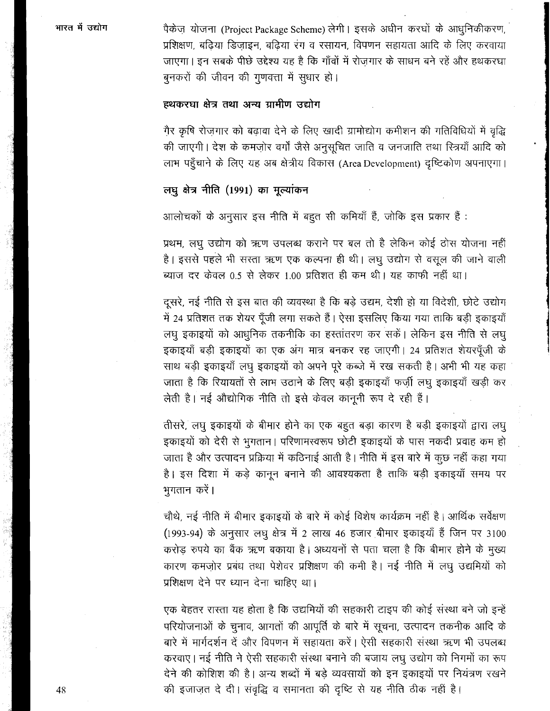भारत में उद्योग

पैकेज योजना (Project Package Scheme) लेगी। इसके अधीन करघों के आधुनिकीकरण, प्रशिक्षण, बढिया डिजाइन, बढिया रंग व रसायन, विपणन सहायता आदि के लिए करवाया जाएगा। इन सबके पीछे उद्देश्य यह है कि गाँवों में रोजगार के साधन बने रहें और हथकरघा बूनकरों की जीवन की गूणवत्ता में सुधार हो।

### हथकरघा क्षेत्र तथा अन्य ग्रामीण उद्योग

गैर कृषि रोजगार को बढ़ावा देने के लिए खादी ग्रामोद्योग कमीशन की गतिविधियों में वृद्धि की जाएगी। देश के कमज़ोर वर्गों जैसे अनुसूचित जाति व जनजाति तथा स्त्रियाँ आदि को लाभ पहुँचाने के लिए यह अब क्षेत्रीय विकास (Area Development) दृष्टिकोण अपनाएगा।

### लघु क्षेत्र नीति (1991) का मुल्यांकन

आलोचकों के अनुसार इस नीति में बहुत सी कमियाँ हैं, जोकि इस प्रकार हैं :

प्रथम, लघु उद्योग को ऋण उपलब्ध कराने पर बल तो है लेकिन कोई ठोस योजना नहीं है। इससे पहले भी सरता ऋण एक कल्पना ही थी। लघु उद्योग से वसूल की जाने वाली ब्याज दर केवल 0.5 से लेकर 1.00 प्रतिशत ही कम थी। यह काफी नहीं था।

दूसरे, नई नीति से इस बात की व्यवस्था है कि बड़े उद्यम, देशी हो या विदेशी, छोटे उद्योग में 24 प्रतिशत तक शेयर पूँजी लगा सकते हैं। ऐसा इसलिए किया गया ताकि बड़ी इकाइयाँ लघु इकाइयों को आधुनिक तकनीकि का हस्तांतरण कर सकें। लेकिन इस नीति से लघु इकाइयाँ बड़ी इकाइयों का एक अंग मात्र बनकर रह जाएगी। 24 प्रतिशत शेयरपुँजी के साथ बड़ी इकाइयाँ लघु इकाइयों को अपने पूरे कब्जे में रख सकती है। अभी भी यह कहा जाता है कि रियायतों से लाभ उठाने के लिए बड़ी इकाइयाँ फर्ज़ी लघु इकाइयाँ खड़ी कर लेती है। नई औद्योगिक नीति तो इसे केवल कानूनी रूप दे रही हैं।

तीसरे, लघु इकाइयों के बीमार होने का एक बहुत बड़ा कारण है बड़ी इकाइयों द्वारा लघु इकाइयों को देरी से भुगतान। परिणामस्वरूप छोटी इकाइयों के पास नकदी प्रवाह कम हो जाता है और उत्पादन प्रक्रिया में कठिनाई आती है। नीति में इस बारे में कुछ नहीं कहा गया है। इस दिशा में कड़े कानून बनाने की आवश्यकता है ताकि बड़ी इकाइयाँ समय पर भूगतान करें।

चौथे, नई नीति में बीमार इकाइयों के बारे में कोई विशेष कार्यक्रम नहीं है। आर्थिक सर्वेक्षण (1993-94) के अनुसार लघू क्षेत्र में 2 लाख 46 हजार बीमार इकाइयाँ हैं जिन पर 3100 करोड़ रुपये का बैंक ऋण बकाया है। अध्ययनों से पता चला है कि बीमार होने के मुख्य कारण कमज़ोर प्रबंध तथा पेशेवर प्रशिक्षण की कमी है। नई नीति में लघू उद्यमियों को प्रशिक्षण देने पर ध्यान देना चाहिए था।

एक बेहतर रास्ता यह होता है कि उद्यमियों की सहकारी टाइप की कोई संस्था बने जो इन्हें परियोजनाओं के चुनाव, आगतों की आपूर्ति के बारे में सूचना, उत्पादन तकनीक आदि के बारे में मार्गदर्शन दें और विपणन में सहायता करें। ऐसी सहकारी संस्था ऋण भी उपलब्ध करवाए। नई नीति ने ऐसी सहकारी संस्था बनाने की बजाय लघु उद्योग को निगमों का रूप देने की कोशिश की है। अन्य शब्दों में बड़े व्यवसायों को इन इकाइयों पर नियंत्रण रखने

की इजाज़त दे दी। संवृद्धि व समानता की दृष्टि से यह नीति ठीक नहीं है।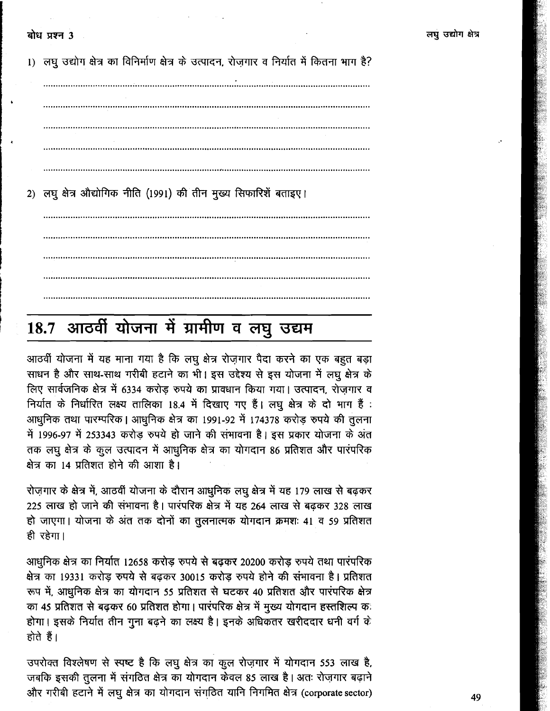1) लघु उद्योग क्षेत्र का विनिर्माण क्षेत्र के उत्पादन, रोज़गार व निर्यात में कितना भाग है? 2) लघु क्षेत्र औद्योगिक नीति (1991) की तीन मुख्य सिफारिशें बताइए।

# 18.7 आठवीं योजना में ग्रामीण व लघु उद्यम

आठवीं योजना में यह माना गया है कि लघु क्षेत्र रोज़गार पैदा करने का एक बहुत बड़ा साधन है और साथ-साथ गरीबी हटाने का भी। इस उद्देश्य से इस योजना में लघू क्षेत्र के लिए सार्वजनिक क्षेत्र में 6334 करोड़ रुपये का प्रावधान किया गया। उत्पादन, रोज़गार व निर्यात के निर्धारित लक्ष्य तालिका 18.4 में दिखाए गए हैं। लघु क्षेत्र के दो भाग हैं: आधुनिक तथा पारम्परिक। आधुनिक क्षेत्र का 1991-92 में 174378 करोड़ रुपये की तुलना में 1996-97 में 253343 करोड रुपये हो जाने की संभावना है। इस प्रकार योजना के अंत तक लघु क्षेत्र के कुल उत्पादन में आधुनिक क्षेत्र का योगदान 86 प्रतिशत और पारंपरिक क्षेत्र का 14 प्रतिशत होने की आशा है।

रोज़गार के क्षेत्र में, आठवीं योजना के दौरान आधुनिक लघु क्षेत्र में यह 179 लाख से बढ़कर 225 लाख हो जाने की संभावना है। पारंपरिक क्षेत्र में यह 264 लाख से बढ़कर 328 लाख हो जाएगा। योजना के अंत तक दोनों का तुलनात्मक योगदान क्रमशः 41 व 59 प्रतिशत ही रहेगा।

आधुनिक क्षेत्र का निर्यात 12658 करोड़ रुपये से बढ़कर 20200 करोड़ रुपये तथा पारंपरिक क्षेत्र का 19331 करोड़ रुपये से बढ़कर 30015 करोड़ रुपये होने की संभावना है। प्रतिशत रूप में, आधुनिक क्षेत्र का योगदान 55 प्रतिशत से घटकर 40 प्रतिशत और पारंपरिक क्षेत्र का 45 प्रतिशत से बढ़कर 60 प्रतिशत होगा। पारंपरिक क्षेत्र में मुख्य योगदान हस्तशिल्प कः होगा। इसके निर्यात तीन गुना बढ़ने का लक्ष्य है। इनके अधिकतर खरीददार धनी वर्ग के होते हैं।

उपरोक्त विश्लेषण से स्पष्ट है कि लघु क्षेत्र का कुल रोज़गार में योगदान 553 लाख है, जबकि इसकी तुलना में संगठित क्षेत्र का योगदान केवल 85 लाख है। अतः रोज़गार बढ़ाने और गरीबी हटाने में लघु क्षेत्र का योगदान संगठित यानि निगमित क्षेत्र (corporate sector)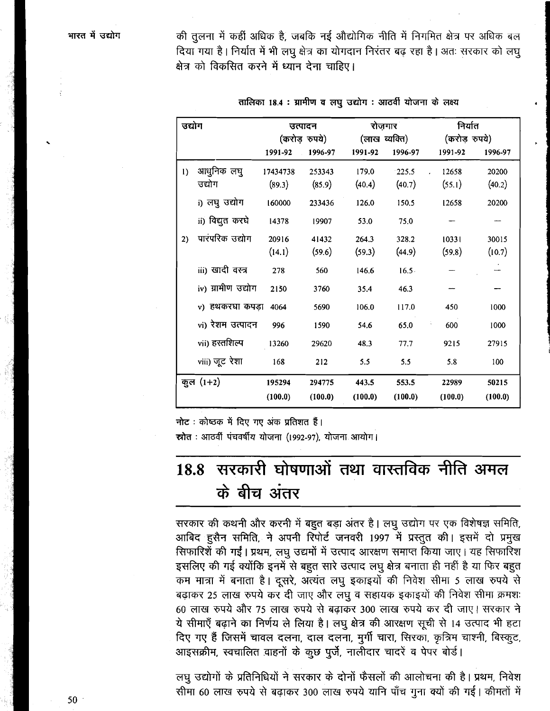की तुलना में कहीं अधिक है, जबकि नई औद्योगिक नीति में निगमित क्षेत्र पर अधिक बल दिया गया है। निर्यात में भी लघू क्षेत्र का योगदान निरंतर बढ़ रहा है। अतः सरकार को लघु क्षेत्र को विकसित करने में ध्यान देना चाहिए।

| उद्योग           |                    | उत्पादन<br>(करोड़ रुपये) |         | रोजगार<br>(लाख व्यक्ति) |          | निर्यात<br>(करोड़ रुपये) |         |
|------------------|--------------------|--------------------------|---------|-------------------------|----------|--------------------------|---------|
|                  |                    | 1991-92                  | 1996-97 | 1991-92                 | 1996-97  | 1991-92                  | 1996-97 |
| $\left( \right)$ | आधुनिक लघु         | 17434738                 | 253343  | 179.0                   | 225.5    | 12658                    | 20200   |
|                  | उद्योग             | (89.3)                   | (85.9)  | (40.4)                  | (40.7)   | (55.1)                   | (40.2)  |
|                  | i) लघु उद्योग      | 160000                   | 233436  | 126.0                   | 150.5    | 12658                    | 20200   |
|                  | ii) विद्युत करघे   | 14378                    | 19907   | 53.0                    | 75.0     |                          |         |
| 2)               | पारंपरिक उद्योग    | 20916                    | 41432   | 264.3                   | 328.2    | 10331                    | 30015   |
|                  |                    | (14.1)                   | (59.6)  | (59.3)                  | (44.9)   | (59.8)                   | (10.7)  |
|                  | iii) खादी वस्त्र   | 278                      | 560     | 146.6                   | $16.5 -$ |                          |         |
|                  | iv) ग्रामीण उद्योग | 2150                     | 3760    | 35.4                    | 46.3     |                          |         |
|                  | v) हथकरघा कपड़ा    | 4064                     | 5690    | 106.0                   | 117.0    | 450                      | 1000    |
|                  | vi) रेशम उत्पादन   | 996                      | 1590    | 54.6                    | 65.0     | 600                      | 1000    |
|                  | vii) हस्तशिल्प     | 13260                    | 29620   | 48.3                    | 77.7     | 9215                     | 27915   |
|                  | viii) जूट रेशा     | 168                      | 212     | 5.5                     | 5.5      | 5.8                      | 100     |
|                  | कुल $(1+2)$        | 195294                   | 294775  | 443.5                   | 553.5    | 22989                    | 50215   |
|                  |                    | (100.0)                  | (100.0) | (100.0)                 | (100.0)  | (100.0)                  | (100.0) |

तालिका 18.4 : ग्रामीण व लघु उद्योग : आठवीं योजना के लक्ष्य

नोट: कोष्ठक में दिए गए अंक प्रतिशत हैं। स्रोत: आठवीं पंचवर्षीय योजना (1992-97), योजना आयोग।

### सरकारी घोषणाओं तथा वास्तविक नीति अमल 18.8 के बीच अंतर

सरकार की कथनी और करनी में बहुत बड़ा अंतर है। लघु उद्योग पर एक विशेषज्ञ समिति, आबिद हुसैन समिति, ने अपनी रिपोर्ट जनवरी 1997 में प्रस्तुत की। इसमें दो प्रमुख सिफारिशें की गईं। प्रथम, लघु उद्यमों में उत्पाद आरक्षण समाप्त किया जाए। यह सिफारिश इसलिए की गई क्योंकि इनमें से बहुत सारे उत्पाद लघु क्षेत्र बनाता ही नहीं है या फिर बहुत कम मात्रा में बनाता है। दूसरे, अत्यंत लघु इकाइयों की निवेश सीमा 5 लाख रुपये से बढ़ाकर 25 लाख रुपये कर दी जाए और लघु व सहायक इकाइयों की निवेश सीमा क्रमशः 60 लाख रुपये और 75 लाख रुपये से बढ़ाकर 300 लाख रुपये कर दी जाए। सरकार ने ये सीमाएँ बढ़ाने का निर्णय ले लिया है। लघु क्षेत्र की आरक्षण सूची से 14 उत्पाद भी हटा दिए गए हैं जिसमें चावल दलना, दाल दलना, मुर्गी चारा, सिरका, कृत्रिम चाश्नी, बिस्कुट, आइसक्रीम, स्वचालित वाहनों के कुछ पूर्जे, नालीदार चादरें व पेपर बोर्ड।

लघु उद्योगों के प्रतिनिधियों ने सरकार के दोनों फैसलों की आलोचना की है। प्रथम, निवेश सीमा 60 लाख रुपये से बढ़ाकर 300 लाख रुपये यानि पाँच गुना क्यों की गई। कीमतों में

 $50<sup>°</sup>$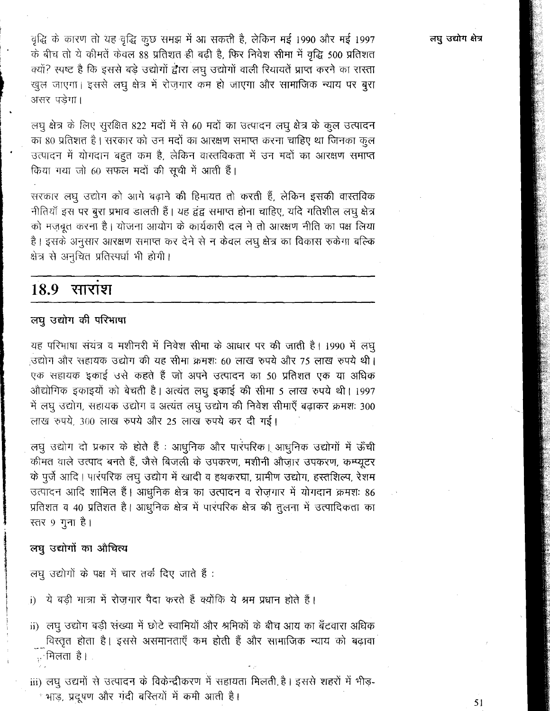वृद्धि के कारण तो यह वृद्धि कुछ समझ में आ सकती है, लेकिन मई 1990 और मई 1997 के बीच तो ये कीमतें केवल 88 प्रतिशत ही बढ़ी है, फिर निवेश सीमा में वृद्धि 500 प्रतिशत क्यों? स्पष्ट है कि इससे बड़े उद्योगों द्वारा लघु उद्योगों वाली रियायतें प्राप्त करने का रास्ता खुल जाएगा। इससे लघु क्षेत्र में रोजगार कम हो जाएगा और सामाजिक न्याय पर बुरा असर पड़ेगा।

लघु क्षेत्र के लिए सुरक्षित 822 मदों में से 60 मदों का उत्पादन लघु क्षेत्र के कुल उत्पादन का 80 प्रतिशत है। सरकार को उन मदों का आरक्षण समाप्त करना चाहिए था जिनका कुल उत्पादन में योगदान बहुत कम है, लेकिन वास्तविकता में उन मदों का आरक्षण समाप्त किया गया जो 60 सफल मदों की सूची में आती हैं।

सरकार लघू उद्योग को आगे बढ़ाने की हिमायत तो करती हैं, लेकिन इसकी वास्तविक नीतियाँ इस पर बुरा प्रभाव डालती हैं। यह द्वंद्व समाप्त होना चाहिए, यदि गतिशील लघु क्षेत्र को मज़बूत करना है। योजना आयोग के कार्यकारी दल ने तो आरक्षण नीति का पक्ष लिया है। इसके अनुसार आरक्षण समाप्त कर देने से न केवल लघु क्षेत्र का विकास रुकेगा बल्कि क्षेत्र से अनुचित प्रतिस्पर्धा भी होगी।

#### 18.9 साराश

### लघु उद्योग की परिभाषा

यह परिभाषा संयंत्र व मशीनरी में निवेश सीमा के आधार पर की जाती है। 1990 में लघु उद्योग और सहायक उद्योग की यह सीमा क्रमशः 60 लाख रुपये और 75 लाख रुपये थी। एक सहायक इकाई उसे कहते हैं जो अपने उत्पादन का 50 प्रतिशत एक या अधिक ओद्योगिक इकाइयों को बेचती है। अत्यंत लघु इकाई की सीमा 5 लाख रुपये थी। 1997 में लघु उद्योग, सहायक उद्योग व अत्यंत लघु उद्योग की निवेश सीमाएँ बढ़ाकर क्रमशः 300 लाख रुपये, 300 लाख रुपये और 25 लाख रुपये कर दी गई।

लघु उद्योग दो प्रकार के होते हैं : आधुनिक और पारंपरिक। आधुनिक उद्योगों में ऊँची कीमत वाले उत्पाद बनते हैं, जैसे बिजली के उपकरण, मशीनी औजार उपकरण, कम्प्यूटर के पूर्जे आदि। पारंपरिक लघु उद्योग में खादी व हथकरघा, ग्रामीण उद्योग, हस्तशिल्प, रेशम उत्पादन आदि शामिल हैं। आधुनिक क्षेत्र का उत्पादन व रोज़गार में योगदान क्रमशः 86 प्रतिशत व 40 प्रतिशत है। आधुनिक क्षेत्र में पारंपरिक क्षेत्र की तुलना में उत्पादिकता का स्तर 9 गुना है।

### लघु उद्योगों का औचित्य

लघु उद्योगों के पक्ष में चार तर्क दिए जाते हैं :

- ये बड़ी मात्रा में रोजगार पैदा करते हैं क्योंकि ये श्रम प्रधान होते हैं।  $\mathbf{i}$
- ii) लघु उद्योग बड़ी संख्या में छोटे स्वामियों और श्रमिकों के बीच आय का बँटवारा अधिक विस्तृत होता है। इससे असमानताएँ कम होती हैं और सामाजिक न्याय को बढ़ावा ु मिलता है।

iii) लघु उद्यमों से उत्पादन के विकेन्द्रीकरण में सहायता मिलती है। इससे शहरों में भीड़-ं भाड़, प्रदूषण और गंदी बरितयों में कमी आती है।

लघु उद्योग क्षेत्र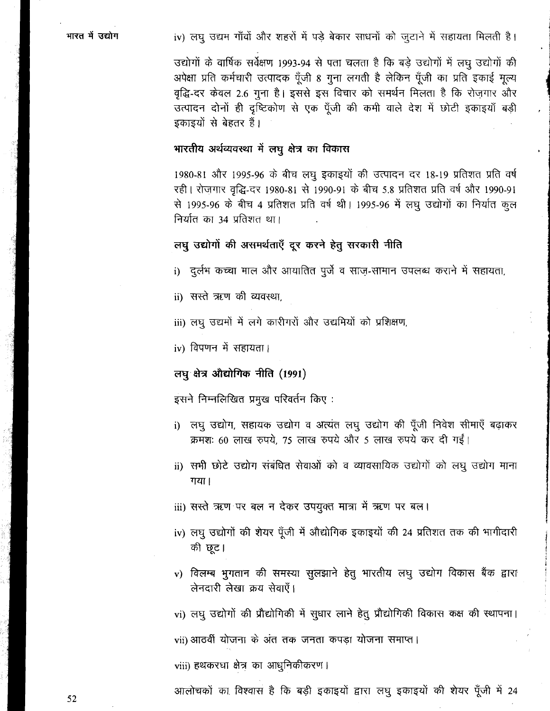### iv) लघु उद्यम गाँवों और शहरों में पड़े बेकार साधनों को जुटाने में सहायता मिलती है।

उद्योगों के वार्षिक सर्वेक्षण 1993-94 से पता चलता है कि बड़े उद्योगों में लघु उद्योगों की अपेक्षा प्रति कर्मचारी उत्पादक पूँजी 8 गुना लगती है लेकिन पूँजी का प्रति इकाई मूल्य वृद्धि-दर केवल 2.6 गुना है। इससे इस विचार को समर्थन मिलता है कि रोजगार और उत्पादन दोनों ही दृष्टिकोण से एक पूँजी की कमी वाले देश में छोटी इकाइयाँ बड़ी इकाइयों से बेहतर हैं।

### भारतीय अर्थव्यवस्था में लघु क्षेत्र का विकास

1980-81 और 1995-96 के बीच लघु इकाइयों की उत्पादन दर 18-19 प्रतिशत प्रति वर्ष रही। रोज़गार वृद्धि-दर 1980-81 से 1990-91 के बीच 5.8 प्रतिशत प्रति वर्ष और 1990-91 से 1995-96 के बीच 4 प्रतिशत प्रति वर्ष थी। 1995-96 में लघु उद्योगों का निर्यात कुल निर्यात का 34 प्रतिशत था।

### लघु उद्योगों की असमर्थताएँ दूर करने हेतु सरकारी नीति

- i) दुर्लभ कच्चा माल और आयातित पुर्जे व साज़-सामान उपलब्ध कराने में सहायता,
- ii) सस्ते ऋण की व्यवस्था.
- iii) लघु उद्यमों में लगे कारीगरों और उद्यमियों को प्रशिक्षण,
- iv) विपणन में सहायता।

### लघु क्षेत्र औद्योगिक नीति (1991)

इसने निम्नलिखित प्रमुख परिवर्तन किए :

- लघु उद्योग, सहायक उद्योग व अत्यंत लघु उद्योग की पूँजी निवेश सीमाएँ बढ़ाकर  $i)$ क्रमशः 60 लाख रुपये, 75 लाख रुपये और 5 लाख रुपये कर दी गईं।
- ii) सभी छोटे उद्योग संबंधित सेवाओं को व व्यावसायिक उद्योगों को लघु उद्योग माना गया।
- iii) सरते ऋण पर बल न देकर उपयुक्त मात्रा में ऋण पर बल।
- iv) लघु उद्योगों की शेयर पूँजी में औद्योगिक इकाइयों की 24 प्रतिशत तक की भागीदारी की छूट।
- v) विलम्ब भुगतान की समस्या सुलझाने हेतु भारतीय लघु उद्योग विकास बैंक द्वारा लेनदारी लेखा क्रय सेवाएँ।
- vi) लघु उद्योगों की प्रौद्योगिकी में सुधार लाने हेतु प्रौद्योगिकी विकास कक्ष की स्थापना।

vii) आठवीं योजना के अंत तक जनता कपड़ा योजना समाप्त।

viii) हथकरघा क्षेत्र का आधुनिकीकरण।

आलोचकों का विश्वास है कि बड़ी इकाइयों द्वारा लघु इकाइयों की शेयर पूँजी में 24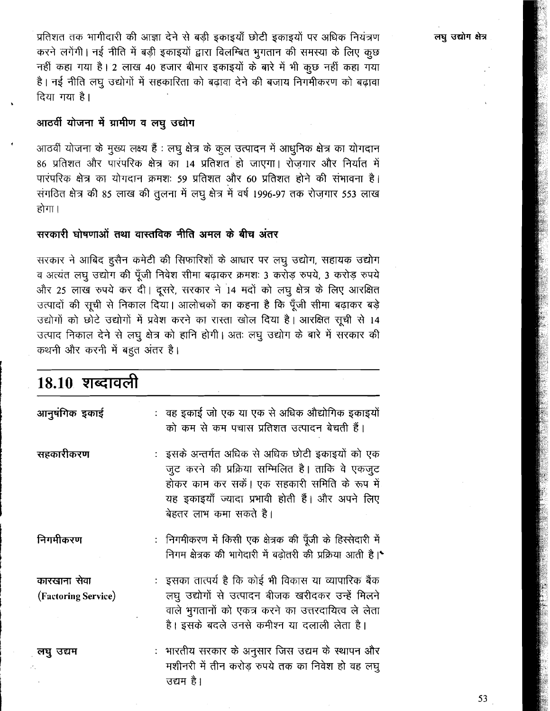लघु उद्योग क्षेत्र

प्रतिशत तक भागीदारी की आज्ञा देने से बड़ी इकाइयाँ छोटी इकाइयों पर अधिक नियंत्रण करने लगेंगी। नई नीति में बड़ी इकाइयों द्वारा विलम्बित भुगतान की समस्या के लिए कुछ नहीं कहा गया है। 2 लाख 40 हजार बीमार इकाइयों के बारे में भी कुछ नहीं कहा गया है। नई नीति लघु उद्योगों में सहकारिता को बढ़ावा देने की बजाय निगमीकरण को बढ़ावा दिया गया है।

### आठवीं योजना में ग्रामीण व लघु उद्योग

आठवीं योजना के मुख्य लक्ष्य हैं : लघु क्षेत्र के कुल उत्पादन में आधुनिक क्षेत्र का योगदान 86 प्रतिशत और पारंपरिक क्षेत्र का 14 प्रतिशत हो जाएगा। रोजगार और निर्यात में पारंपरिक क्षेत्र का योगदान क्रमशः 59 प्रतिशत और 60 प्रतिशत होने की संभावना है। संगठित क्षेत्र की 85 लाख की तुलना में लघू क्षेत्र में वर्ष 1996-97 तक रोजगार 553 लाख होगा।

### सरकारी घोषणाओं तथा वास्तविक नीति अमल के बीच अंतर

सरकार ने आबिद हुसैन कमेटी की सिफारिशों के आधार पर लघू उद्योग, सहायक उद्योग व अत्यंत लघु उद्योग की पूँजी निवेश सीमा बढ़ाकर क्रमशः 3 करोड़ रुपये, 3 करोड़ रुपये और 25 लाख रुपये कर दी। दूसरे, सरकार ने 14 मदों को लघु क्षेत्र के लिए आरक्षित उत्पादों की सूची से निकाल दिया। आलोचकों का कहना है कि पूँजी सीमा बढ़ाकर बड़े उद्योगों को छोटे उद्योगों में प्रवेश करने का रास्ता खोल दिया है। आरक्षित सूची से 14 उत्पाद निकाल देने से लघु क्षेत्र को हानि होगी। अतः लघु उद्योग के बारे में सरकार की कथनी और करनी में बहुत अंतर है।

| 18.10 शब्दावली                      |                                                                                                                                                                                                                                   |
|-------------------------------------|-----------------------------------------------------------------------------------------------------------------------------------------------------------------------------------------------------------------------------------|
| आनुषंगिक इकाई                       | : वह इकाई जो एक या एक से अधिक औद्योगिक इकाइयों<br>को कम से कम पचास प्रतिशत उत्पादन बेचती हैं।                                                                                                                                     |
| सहकारीकरण                           | :) इसके अन्तर्गत अधिक से अधिक छोटी इकाइयों को एक<br>जुट करने की प्रक्रिया सम्मिलित है। ताकि वे एकजुट<br>होकर काम कर सकें। एक सहकारी समिति के रूप में<br>यह इकाइयाँ ज्यादा प्रभावी होती हैं। और अपने लिए<br>बेहतर लाभ कमा सकते है। |
| निगमीकरण                            | : निगमीकरण में किसी एक क्षेत्रक की पूँजी के हिस्सेदारी में<br>निगम क्षेत्रक की भागेदारी में बढ़ोतरी की प्रक्रिया आती है।*                                                                                                         |
| कारखाना सेवा<br>(Factoring Service) | :) इसका तात्पर्य है कि कोई भी विकास या व्यापारिक बैंक<br>लघु उद्योगों से उत्पादन बीजक खरीदकर उन्हें मिलने<br>वाले भुगतानों को एकत्र करने का उत्तरदायित्व ले लेता<br>है। इसके बदले उनसे कमीश्न या दलाली लेता है।                   |
| लघु उद्यम                           | :  भारतीय सरकार के अनुसार जिस उद्यम के स्थापन और<br>मशीनरी में तीन करोड़ रुपये तक का निवेश हो वह लघु<br>उद्यम है।                                                                                                                 |